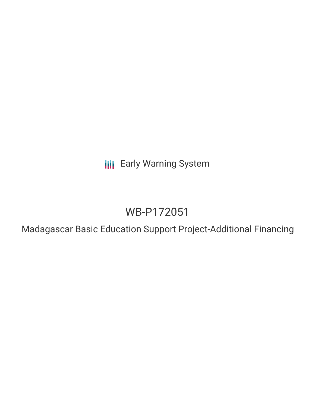**III** Early Warning System

# WB-P172051

Madagascar Basic Education Support Project-Additional Financing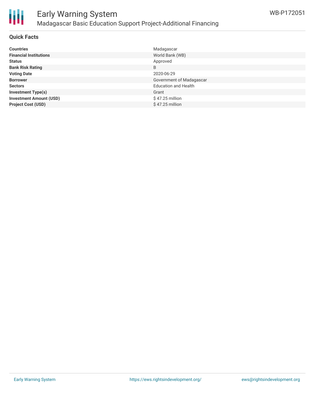

# Early Warning System Madagascar Basic Education Support Project-Additional Financing

## **Quick Facts**

| <b>Countries</b>               | Madagascar                  |
|--------------------------------|-----------------------------|
| <b>Financial Institutions</b>  | World Bank (WB)             |
| <b>Status</b>                  | Approved                    |
| <b>Bank Risk Rating</b>        | B                           |
| <b>Voting Date</b>             | 2020-06-29                  |
| <b>Borrower</b>                | Government of Madagascar    |
| <b>Sectors</b>                 | <b>Education and Health</b> |
| <b>Investment Type(s)</b>      | Grant                       |
| <b>Investment Amount (USD)</b> | $$47.25$ million            |
| <b>Project Cost (USD)</b>      | $$47.25$ million            |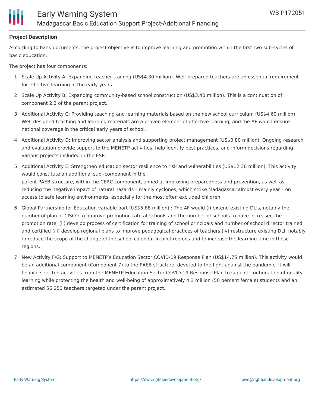

### **Project Description**

According to bank documents, the project objective is to improve learning and promotion within the first two sub-cycles of basic education.

The project has four components:

- 1. Scale Up Activity A: Expanding teacher training (US\$4.30 million). Well-prepared teachers are an essential requirement for effective learning in the early years.
- 2. Scale Up Activity B: Expanding community-based school construction (US\$3.40 million). This is a continuation of component 2.2 of the parent project.
- 3. Additional Activity C: Providing teaching and learning materials based on the new school curriculum (US\$4.60 million). Well-designed teaching and learning materials are a proven element of effective learning, and the AF would ensure national coverage in the critical early years of school.
- 4. Additional Activity D: Improving sector analysis and supporting project management (US\$0.80 million). Ongoing research and evaluation provide support to the MENETP activities, help identify best practices, and inform decisions regarding various projects included in the ESP.
- 5. Additional Activity E: Strengthen education sector resilience to risk and vulnerabilities (US\$12.30 million). This activity, would constitute an additional sub -component in the parent PAEB structure, within the CERC component, aimed at improving preparedness and prevention, as well as reducing the negative impact of natural hazards – mainly cyclones, which strike Madagascar almost every year – on access to safe learning environments, especially for the most often excluded children.
- 6. Global Partnership for Education variable part (US\$5.88 million) : The AF would (i) extend existing DLIs, notably the number of plan of CISCO to improve promotion rate at schools and the number of schools to have increased the promotion rate; (ii) develop process of certification for training of school principals and number of school director trained and certified (iii) develop regional plans to improve pedagogical practices of teachers (iv) restructure existing DLI, notably to reduce the scope of the change of the school calendar in pilot regions and to increase the learning time in those regions.
- 7. New Activity F/G: Support to MENETP's Education Sector COVID-19 Response Plan (US\$14.75 million). This activity would be an additional component (Component 7) to the PAEB structure, devoted to the fight against the pandemic. It will finance selected activities from the MENETP Education Sector COVID-19 Response Plan to support continuation of quality learning while protecting the health and well-being of approximatively 4.3 million (50 percent female) students and an estimated 56,250 teachers targeted under the parent project.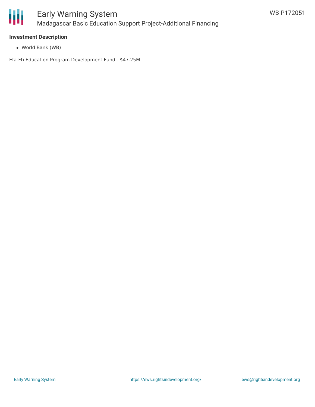

### **Investment Description**

World Bank (WB)

Efa-Fti Education Program Development Fund - \$47.25M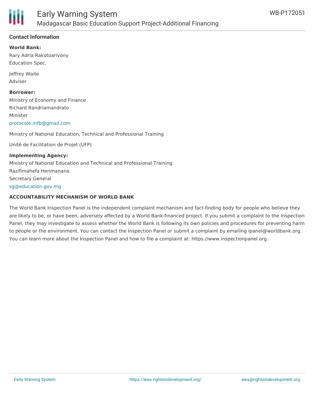

# **Contact Information**

**World Bank:** Rary Adria Rakotoarivony

Education Spec.

Jeffrey Waite Adviser

#### **Borrower:**

Ministry of Economy and Finance Richard Randriamandrato Minister [protocole.mfb@gmail.com](mailto:protocole.mfb@gmail.com)

Ministry of National Education, Technical and Professional Training

Unité de Facilitation de Projet (UFP)

**Implementing Agency:** Ministry of National Education and Technical and Professional Training Razifimahefa Herimanana Secretary General [sg@education.gov.mg](mailto:sg@education.gov.mg)

### **ACCOUNTABILITY MECHANISM OF WORLD BANK**

The World Bank Inspection Panel is the independent complaint mechanism and fact-finding body for people who believe they are likely to be, or have been, adversely affected by a World Bank-financed project. If you submit a complaint to the Inspection Panel, they may investigate to assess whether the World Bank is following its own policies and procedures for preventing harm to people or the environment. You can contact the Inspection Panel or submit a complaint by emailing ipanel@worldbank.org. You can learn more about the Inspection Panel and how to file a complaint at: https://www.inspectionpanel.org.